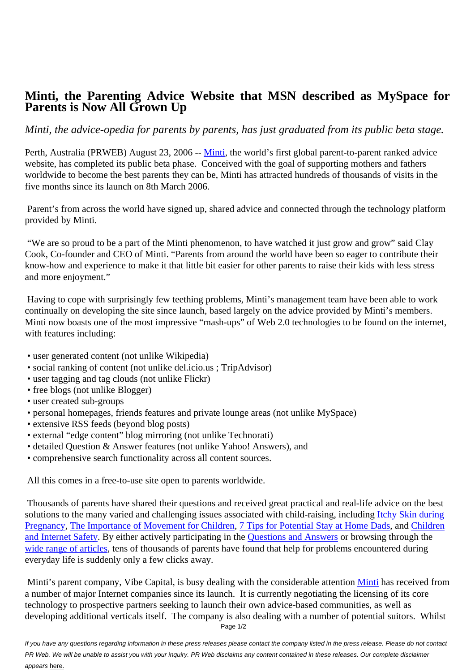## **Minti, the Parenting Advice Website that MSN described as MySpace for Parents is Now All Grown Up**

## *Minti, the advice-opedia for parents by parents, has just graduated from its public beta stage.*

Perth, Australia (PRWEB) August 23, 2006 -- Minti, the world's first global parent-to-parent ranked advice website, has completed its public beta phase. Conceived with the goal of supporting mothers and fathers worldwide to become the best parents they can be, Minti has attracted hundreds of thousands of visits in the five months since its launch on 8th March 200[6.](http://www.minti.com)

 Parent's from across the world have signed up, shared advice and connected through the technology platform provided by Minti.

 "We are so proud to be a part of the Minti phenomenon, to have watched it just grow and grow" said Clay Cook, Co-founder and CEO of Minti. "Parents from around the world have been so eager to contribute their know-how and experience to make it that little bit easier for other parents to raise their kids with less stress and more enjoyment."

 Having to cope with surprisingly few teething problems, Minti's management team have been able to work continually on developing the site since launch, based largely on the advice provided by Minti's members. Minti now boasts one of the most impressive "mash-ups" of Web 2.0 technologies to be found on the internet, with features including:

- user generated content (not unlike Wikipedia)
- social ranking of content (not unlike del.icio.us ; TripAdvisor)
- user tagging and tag clouds (not unlike Flickr)
- free blogs (not unlike Blogger)
- user created sub-groups
- personal homepages, friends features and private lounge areas (not unlike MySpace)
- extensive RSS feeds (beyond blog posts)
- external "edge content" blog mirroring (not unlike Technorati)
- detailed Question & Answer features (not unlike Yahoo! Answers), and
- comprehensive search functionality across all content sources.

All this comes in a free-to-use site open to parents worldwide.

 Thousands of parents have shared their questions and received great practical and real-life advice on the best solutions to the many varied and challenging issues associated with child-raising, including Itchy Skin during Pregnancy, The Importance of Movement for Children, 7 Tips for Potential Stay at Home Dads, and Children and Internet Safety. By either actively participating in the Questions and Answers or browsing through the wide range of articles, tens of thousands of parents have found that help for problems encou[ntered during](http://www.minti.com/parenting-advice/224/Itchy-skin-during-pregnancy-It-may-possibly-be-Obstetric-Cholestasis--IntrahepaticCholestasis-of-Pregnancy/) [everyday li](http://www.minti.com/parenting-advice/224/Itchy-skin-during-pregnancy-It-may-possibly-be-Obstetric-Cholestasis--IntrahepaticCholestasis-of-Pregnancy/)[fe is suddenly only a few clicks away.](http://www.minti.com/parenting-advice/778/The-Importance-of-Movement-for-Children/)

 [Minti's parent com](http://www.minti.com/parenting-advice/707/children-and-internet-safety/)pany, Vibe Capital, is busy dealing wi[th the considerable atten](http://www.minti.com/questions-and-answers/)tion Minti has received from [a number of major Int](http://www.minti.com/parenting-advice/?order_by=real_rank&order_type=desc)ernet companies since its launch. It is currently negotiating the licensing of its core technology to prospective partners seeking to launch their own advice-based communities, as well as developing additional verticals itself. The company is also dealing with a number of p[otentia](http://www.minti.com)l suitors. Whilst Page 1/2

If you have any questions regarding information in these press releases please contact the company listed in the press release. Please do not contact PR Web. We will be unable to assist you with your inquiry. PR Web disclaims any content contained in these releases. Our complete disclaimer appears here.